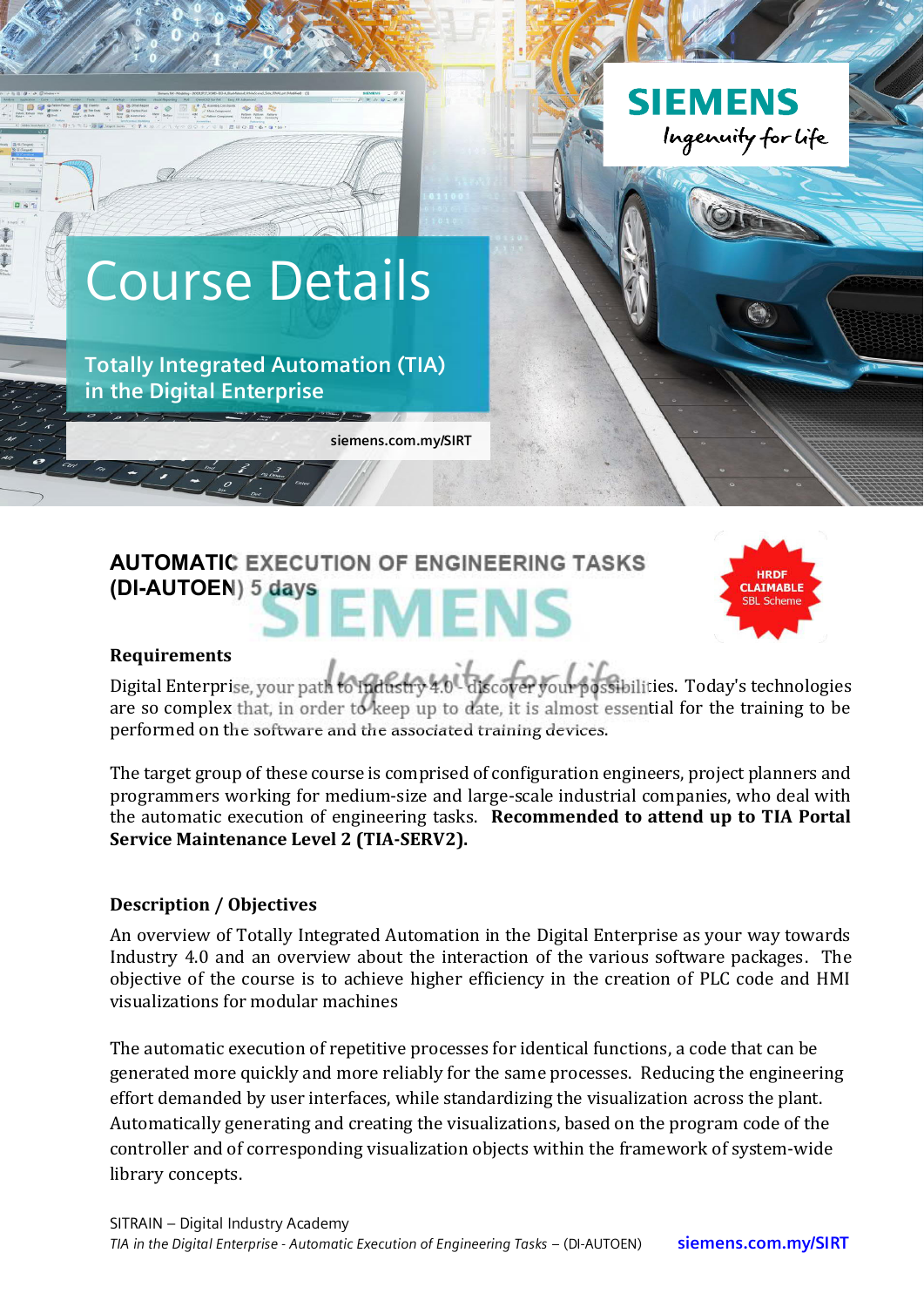

# **AUTOMATIC EXECUTION OF ENGINEERING TASKS (DI-AUTOEN) 5 days EMENS**



#### **Requirements**

Digital Enterprise, your path to fudustry 4.0 - discover your possibilities. Today's technologies are so complex that, in order to keep up to date, it is almost essential for the training to be performed on the software and the associated training devices.

The target group of these course is comprised of configuration engineers, project planners and programmers working for medium-size and large-scale industrial companies, who deal with the automatic execution of engineering tasks. Recommended to attend up to TIA Portal Service Maintenance Level 2 (TIA-SERV2).

## **Description / Objectives**

An overview of Totally Integrated Automation in the Digital Enterprise as your way towards Industry 4.0 and an overview about the interaction of the various software packages. The objective of the course is to achieve higher efficiency in the creation of PLC code and HMI visualizations for modular machines

The automatic execution of repetitive processes for identical functions, a code that can be generated more quickly and more reliably for the same processes. Reducing the engineering effort demanded by user interfaces, while standardizing the visualization across the plant. Automatically generating and creating the visualizations, based on the program code of the controller and of corresponding visualization objects within the framework of system-wide library concepts.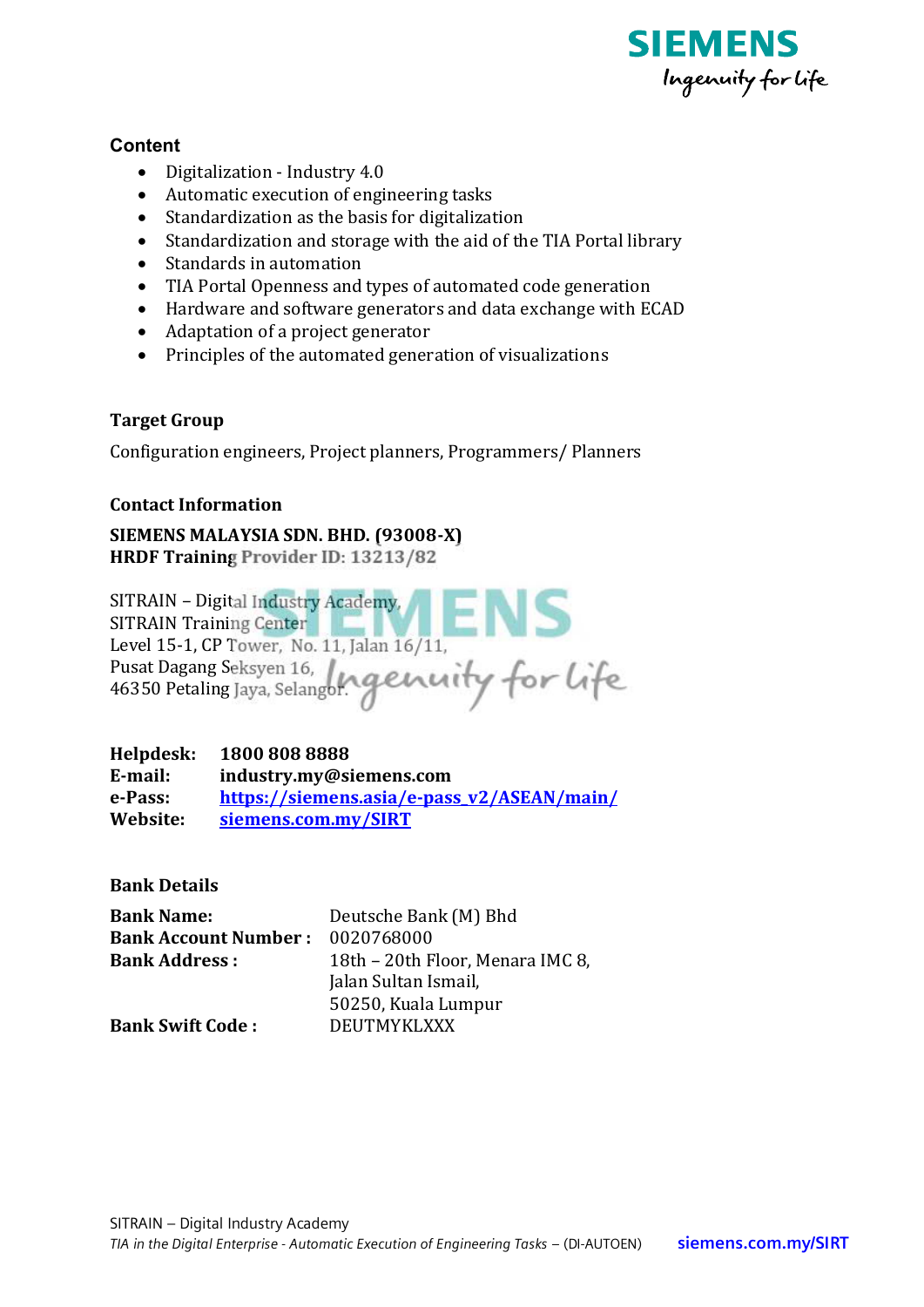

## **Content**

- Digitalization Industry 4.0
- Automatic execution of engineering tasks
- Standardization as the basis for digitalization
- Standardization and storage with the aid of the TIA Portal library
- Standards in automation
- TIA Portal Openness and types of automated code generation
- Hardware and software generators and data exchange with ECAD
- Adaptation of a project generator
- Principles of the automated generation of visualizations

## **Target Group**

Configuration engineers, Project planners, Programmers/ Planners

## **Contact Information**

SIEMENS MALAYSIA SDN, BHD, (93008-X) HRDF Training Provider ID: 13213/82

SITRAIN - Digital Industry Academy, EI SITRAIN Training Center Level 15-1, CP Tower, No. 11, Jalan 16/11, Pusat Dagang Seksyen 16, 46350 Petaling Jaya, Selangor.

Helpdesk: 1800 808 8888 E-mail: industry.my@siemens.com e-Pass: https://siemens.asia/e-pass v2/ASEAN/main/ Website: siemens.com.my/SIRT

**Bank Details** 

| <b>Bank Name:</b>           | Deutsche Bank (M) Bhd            |  |
|-----------------------------|----------------------------------|--|
| <b>Bank Account Number:</b> | 0020768000                       |  |
| <b>Bank Address:</b>        | 18th - 20th Floor, Menara IMC 8, |  |
|                             | Jalan Sultan Ismail,             |  |
|                             | 50250, Kuala Lumpur              |  |
| <b>Bank Swift Code:</b>     | DEUTMYKLXXX                      |  |